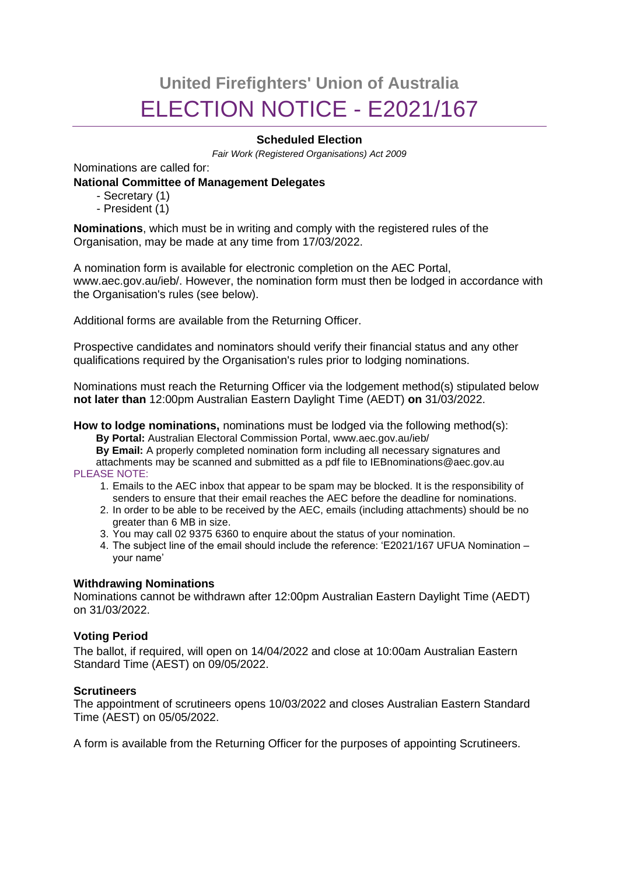# **United Firefighters' Union of Australia** ELECTION NOTICE - E2021/167

## **Scheduled Election**

*Fair Work (Registered Organisations) Act 2009*

Nominations are called for:

### **National Committee of Management Delegates**

- Secretary (1)
- President (1)

**Nominations**, which must be in writing and comply with the registered rules of the Organisation, may be made at any time from 17/03/2022.

A nomination form is available for electronic completion on the AEC Portal, www.aec.gov.au/ieb/. However, the nomination form must then be lodged in accordance with the Organisation's rules (see below).

Additional forms are available from the Returning Officer.

Prospective candidates and nominators should verify their financial status and any other qualifications required by the Organisation's rules prior to lodging nominations.

Nominations must reach the Returning Officer via the lodgement method(s) stipulated below **not later than** 12:00pm Australian Eastern Daylight Time (AEDT) **on** 31/03/2022.

**How to lodge nominations,** nominations must be lodged via the following method(s):

**By Portal:** Australian Electoral Commission Portal, www.aec.gov.au/ieb/

**By Email:** A properly completed nomination form including all necessary signatures and attachments may be scanned and submitted as a pdf file to IEBnominations@aec.gov.au PLEASE NOTE:

- 1. Emails to the AEC inbox that appear to be spam may be blocked. It is the responsibility of senders to ensure that their email reaches the AEC before the deadline for nominations.
- 2. In order to be able to be received by the AEC, emails (including attachments) should be no greater than 6 MB in size.
- 3. You may call 02 9375 6360 to enquire about the status of your nomination.
- 4. The subject line of the email should include the reference: 'E2021/167 UFUA Nomination your name'

#### **Withdrawing Nominations**

Nominations cannot be withdrawn after 12:00pm Australian Eastern Daylight Time (AEDT) on 31/03/2022.

## **Voting Period**

The ballot, if required, will open on 14/04/2022 and close at 10:00am Australian Eastern Standard Time (AEST) on 09/05/2022.

#### **Scrutineers**

The appointment of scrutineers opens 10/03/2022 and closes Australian Eastern Standard Time (AEST) on 05/05/2022.

A form is available from the Returning Officer for the purposes of appointing Scrutineers.